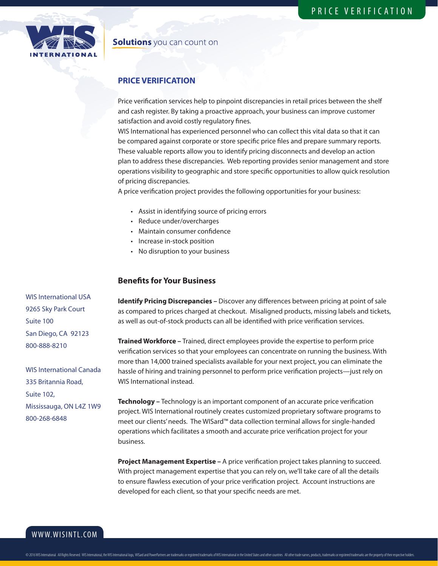

### **Solutions** you can count on

# **PRICE VERIFICATION**

Price verification services help to pinpoint discrepancies in retail prices between the shelf and cash register. By taking a proactive approach, your business can improve customer satisfaction and avoid costly regulatory fines.

WIS International has experienced personnel who can collect this vital data so that it can be compared against corporate or store specific price files and prepare summary reports. These valuable reports allow you to identify pricing disconnects and develop an action plan to address these discrepancies. Web reporting provides senior management and store operations visibility to geographic and store specific opportunities to allow quick resolution of pricing discrepancies.

A price verification project provides the following opportunities for your business:

- Assist in identifying source of pricing errors
- Reduce under/overcharges
- Maintain consumer confidence
- Increase in-stock position
- No disruption to your business

#### **Benefits for Your Business**

**Identify Pricing Discrepancies –** Discover any differences between pricing at point of sale as compared to prices charged at checkout. Misaligned products, missing labels and tickets, as well as out-of-stock products can all be identified with price verification services.

**Trained Workforce –** Trained, direct employees provide the expertise to perform price verification services so that your employees can concentrate on running the business. With more than 14,000 trained specialists available for your next project, you can eliminate the hassle of hiring and training personnel to perform price verification projects—just rely on WIS International instead.

**Technology –** Technology is an important component of an accurate price verification project. WIS International routinely creates customized proprietary software programs to meet our clients' needs. The WISard™ data collection terminal allows for single-handed operations which facilitates a smooth and accurate price verification project for your business.

**Project Management Expertise –** A price verification project takes planning to succeed. With project management expertise that you can rely on, we'll take care of all the details to ensure flawless execution of your price verification project. Account instructions are developed for each client, so that your specific needs are met.

WIS International USA 9265 Sky Park Court Suite 100 San Diego, CA 92123 800-888-8210

WIS International Canada 335 Britannia Road, Suite 102, Mississauga, ON L4Z 1W9 800-268-6848

WWW.WISINTL.COM